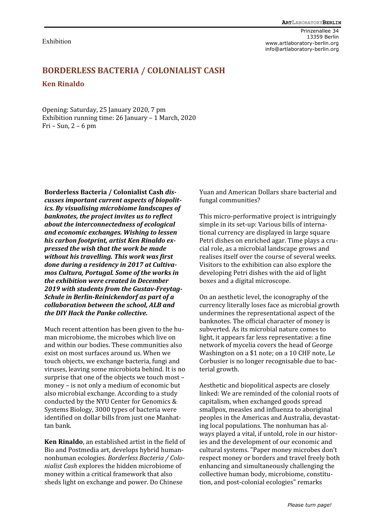Exhibition

Prinzenallee 34 13359 Berlin www.artlaboratory-berlin.org info@artlaboratory-berlin.org

## **BORDERLESS BACTERIA / COLONIALIST CASH Ken Rinaldo**

Opening: Saturday, 25 January 2020, 7 pm Exhibition running time: 26 January – 1 March, 2020 Fri – Sun, 2 – 6 pm

**Borderless Bacteria / Colonialist Cash** *discusses important current aspects of biopolitics. By visualising microbiome landscapes of banknotes, the project invites us to reflect about the interconnectedness of ecological and economic exchanges. Wishing to lessen his carbon footprint, artist Ken Rinaldo expressed the wish that the work be made without his travelling. This work was first done during a residency in 2017 at Cultivamos Cultura, Portugal. Some of the works in the exhibition were created in December 2019 with students from the Gustav-Freytag-Schule in Berlin-Reinickendorf as part of a collaboration between the school, ALB and the DIY Hack the Panke collective.*

Much recent attention has been given to the human microbiome, the microbes which live on and within our bodies. These communities also exist on most surfaces around us. When we touch objects, we exchange bacteria, fungi and viruses, leaving some microbiota behind. It is no surprise that one of the objects we touch most – money – is not only a medium of economic but also microbial exchange. According to a study conducted by the NYU Center for Genomics & Systems Biology, 3000 types of bacteria were identified on dollar bills from just one Manhattan bank.

**Ken Rinaldo**, an established artist in the field of Bio and Postmedia art, develops hybrid humannonhuman ecologies. *Borderless Bacteria / Colonialist Cash* explores the hidden microbiome of money within a critical framework that also sheds light on exchange and power. Do Chinese

Yuan and American Dollars share bacterial and fungal communities?

This micro-performative project is intriguingly simple in its set-up: Various bills of international currency are displayed in large square Petri dishes on enriched agar. Time plays a crucial role, as a microbial landscape grows and realises itself over the course of several weeks. Visitors to the exhibition can also explore the developing Petri dishes with the aid of light boxes and a digital microscope.

On an aesthetic level, the iconography of the currency literally loses face as microbial growth undermines the representational aspect of the banknotes. The official character of money is subverted. As its microbial nature comes to light, it appears far less representative: a fine network of mycelia covers the head of George Washington on a \$1 note; on a 10 CHF note, Le Corbusier is no longer recognisable due to bacterial growth.

Aesthetic and biopolitical aspects are closely linked: We are reminded of the colonial roots of capitalism, when exchanged goods spread smallpox, measles and influenza to aboriginal peoples in the Americas and Australia, devastating local populations. The nonhuman has always played a vital, if untold, role in our histories and the development of our economic and cultural systems. "Paper money microbes don't respect money or borders and travel freely both enhancing and simultaneously challenging the collective human body, microbiome, constitution, and post-colonial ecologies" remarks